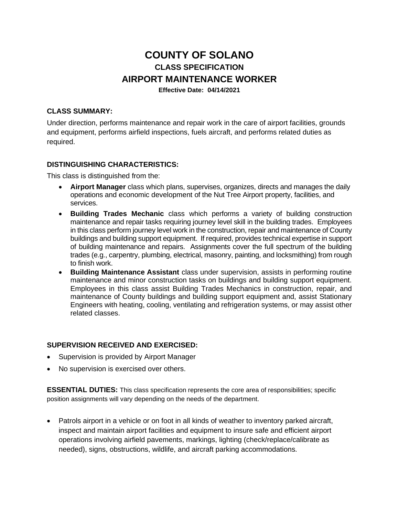# **COUNTY OF SOLANO CLASS SPECIFICATION AIRPORT MAINTENANCE WORKER Effective Date: 04/14/2021**

#### **CLASS SUMMARY:**

Under direction, performs maintenance and repair work in the care of airport facilities, grounds and equipment, performs airfield inspections, fuels aircraft, and performs related duties as required.

#### **DISTINGUISHING CHARACTERISTICS:**

This class is distinguished from the:

- **Airport Manager** class which plans, supervises, organizes, directs and manages the daily operations and economic development of the Nut Tree Airport property, facilities, and services.
- **Building Trades Mechanic** class which performs a variety of building construction maintenance and repair tasks requiring journey level skill in the building trades. Employees in this class perform journey level work in the construction, repair and maintenance of County buildings and building support equipment. If required, provides technical expertise in support of building maintenance and repairs. Assignments cover the full spectrum of the building trades (e.g., carpentry, plumbing, electrical, masonry, painting, and locksmithing) from rough to finish work.
- **Building Maintenance Assistant** class under supervision, assists in performing routine maintenance and minor construction tasks on buildings and building support equipment. Employees in this class assist Building Trades Mechanics in construction, repair, and maintenance of County buildings and building support equipment and, assist Stationary Engineers with heating, cooling, ventilating and refrigeration systems, or may assist other related classes.

#### **SUPERVISION RECEIVED AND EXERCISED:**

- Supervision is provided by Airport Manager
- No supervision is exercised over others.

**ESSENTIAL DUTIES:** This class specification represents the core area of responsibilities; specific position assignments will vary depending on the needs of the department.

• Patrols airport in a vehicle or on foot in all kinds of weather to inventory parked aircraft, inspect and maintain airport facilities and equipment to insure safe and efficient airport operations involving airfield pavements, markings, lighting (check/replace/calibrate as needed), signs, obstructions, wildlife, and aircraft parking accommodations.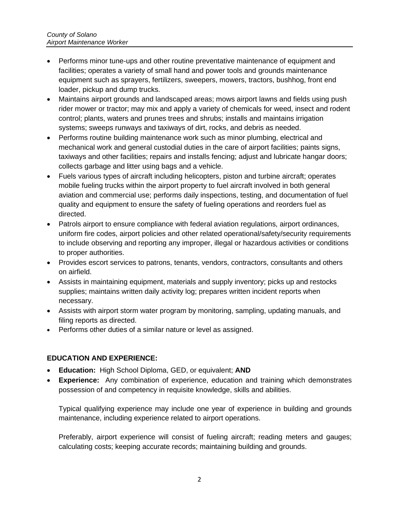- Performs minor tune-ups and other routine preventative maintenance of equipment and facilities; operates a variety of small hand and power tools and grounds maintenance equipment such as sprayers, fertilizers, sweepers, mowers, tractors, bushhog, front end loader, pickup and dump trucks.
- Maintains airport grounds and landscaped areas; mows airport lawns and fields using push rider mower or tractor; may mix and apply a variety of chemicals for weed, insect and rodent control; plants, waters and prunes trees and shrubs; installs and maintains irrigation systems; sweeps runways and taxiways of dirt, rocks, and debris as needed.
- Performs routine building maintenance work such as minor plumbing, electrical and mechanical work and general custodial duties in the care of airport facilities; paints signs, taxiways and other facilities; repairs and installs fencing; adjust and lubricate hangar doors; collects garbage and litter using bags and a vehicle.
- Fuels various types of aircraft including helicopters, piston and turbine aircraft; operates mobile fueling trucks within the airport property to fuel aircraft involved in both general aviation and commercial use; performs daily inspections, testing, and documentation of fuel quality and equipment to ensure the safety of fueling operations and reorders fuel as directed.
- Patrols airport to ensure compliance with federal aviation regulations, airport ordinances, uniform fire codes, airport policies and other related operational/safety/security requirements to include observing and reporting any improper, illegal or hazardous activities or conditions to proper authorities.
- Provides escort services to patrons, tenants, vendors, contractors, consultants and others on airfield.
- Assists in maintaining equipment, materials and supply inventory; picks up and restocks supplies; maintains written daily activity log; prepares written incident reports when necessary.
- Assists with airport storm water program by monitoring, sampling, updating manuals, and filing reports as directed.
- Performs other duties of a similar nature or level as assigned.

# **EDUCATION AND EXPERIENCE:**

- **Education:** High School Diploma, GED, or equivalent; **AND**
- **Experience:** Any combination of experience, education and training which demonstrates possession of and competency in requisite knowledge, skills and abilities.

Typical qualifying experience may include one year of experience in building and grounds maintenance, including experience related to airport operations.

Preferably, airport experience will consist of fueling aircraft; reading meters and gauges; calculating costs; keeping accurate records; maintaining building and grounds.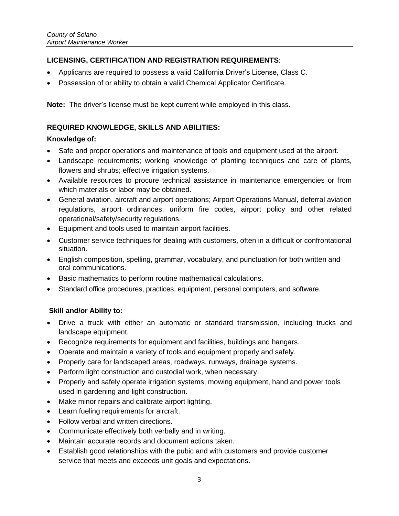# **LICENSING, CERTIFICATION AND REGISTRATION REQUIREMENTS**:

- Applicants are required to possess a valid California Driver's License, Class C.
- Possession of or ability to obtain a valid Chemical Applicator Certificate.

**Note:** The driver's license must be kept current while employed in this class.

## **REQUIRED KNOWLEDGE, SKILLS AND ABILITIES:**

## **Knowledge of:**

- Safe and proper operations and maintenance of tools and equipment used at the airport.
- Landscape requirements; working knowledge of planting techniques and care of plants, flowers and shrubs; effective irrigation systems.
- Available resources to procure technical assistance in maintenance emergencies or from which materials or labor may be obtained.
- General aviation, aircraft and airport operations; Airport Operations Manual, deferral aviation regulations, airport ordinances, uniform fire codes, airport policy and other related operational/safety/security regulations.
- Equipment and tools used to maintain airport facilities.
- Customer service techniques for dealing with customers, often in a difficult or confrontational situation.
- English composition, spelling, grammar, vocabulary, and punctuation for both written and oral communications.
- Basic mathematics to perform routine mathematical calculations.
- Standard office procedures, practices, equipment, personal computers, and software.

# **Skill and/or Ability to:**

- Drive a truck with either an automatic or standard transmission, including trucks and landscape equipment.
- Recognize requirements for equipment and facilities, buildings and hangars.
- Operate and maintain a variety of tools and equipment properly and safely.
- Properly care for landscaped areas, roadways, runways, drainage systems.
- Perform light construction and custodial work, when necessary.
- Properly and safely operate irrigation systems, mowing equipment, hand and power tools used in gardening and light construction.
- Make minor repairs and calibrate airport lighting.
- Learn fueling requirements for aircraft.
- Follow verbal and written directions.
- Communicate effectively both verbally and in writing.
- Maintain accurate records and document actions taken.
- Establish good relationships with the pubic and with customers and provide customer service that meets and exceeds unit goals and expectations.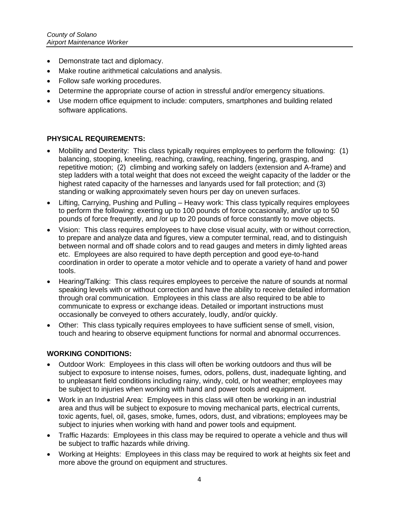- Demonstrate tact and diplomacy.
- Make routine arithmetical calculations and analysis.
- Follow safe working procedures.
- Determine the appropriate course of action in stressful and/or emergency situations.
- Use modern office equipment to include: computers, smartphones and building related software applications.

#### **PHYSICAL REQUIREMENTS:**

- Mobility and Dexterity: This class typically requires employees to perform the following: (1) balancing, stooping, kneeling, reaching, crawling, reaching, fingering, grasping, and repetitive motion; (2) climbing and working safely on ladders (extension and A-frame) and step ladders with a total weight that does not exceed the weight capacity of the ladder or the highest rated capacity of the harnesses and lanyards used for fall protection; and (3) standing or walking approximately seven hours per day on uneven surfaces.
- Lifting, Carrying, Pushing and Pulling Heavy work: This class typically requires employees to perform the following: exerting up to 100 pounds of force occasionally, and/or up to 50 pounds of force frequently, and /or up to 20 pounds of force constantly to move objects.
- Vision: This class requires employees to have close visual acuity, with or without correction, to prepare and analyze data and figures, view a computer terminal, read, and to distinguish between normal and off shade colors and to read gauges and meters in dimly lighted areas etc. Employees are also required to have depth perception and good eye-to-hand coordination in order to operate a motor vehicle and to operate a variety of hand and power tools.
- Hearing/Talking: This class requires employees to perceive the nature of sounds at normal speaking levels with or without correction and have the ability to receive detailed information through oral communication. Employees in this class are also required to be able to communicate to express or exchange ideas. Detailed or important instructions must occasionally be conveyed to others accurately, loudly, and/or quickly.
- Other: This class typically requires employees to have sufficient sense of smell, vision, touch and hearing to observe equipment functions for normal and abnormal occurrences.

#### **WORKING CONDITIONS:**

- Outdoor Work: Employees in this class will often be working outdoors and thus will be subject to exposure to intense noises, fumes, odors, pollens, dust, inadequate lighting, and to unpleasant field conditions including rainy, windy, cold, or hot weather; employees may be subject to injuries when working with hand and power tools and equipment.
- Work in an Industrial Area: Employees in this class will often be working in an industrial area and thus will be subject to exposure to moving mechanical parts, electrical currents, toxic agents, fuel, oil, gases, smoke, fumes, odors, dust, and vibrations; employees may be subject to injuries when working with hand and power tools and equipment.
- Traffic Hazards: Employees in this class may be required to operate a vehicle and thus will be subject to traffic hazards while driving.
- Working at Heights: Employees in this class may be required to work at heights six feet and more above the ground on equipment and structures.